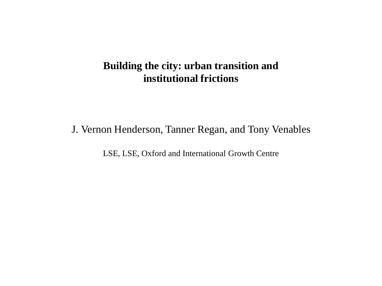# **Building the city: urban transition and institutional frictions**

J. Vernon Henderson, Tanner Regan, and Tony Venables

LSE, LSE, Oxford and International Growth Centre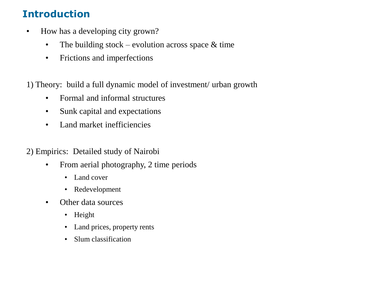# **Introduction**

- How has a developing city grown?
	- The building stock evolution across space  $\&$  time
	- Frictions and imperfections

1) Theory: build a full dynamic model of investment/ urban growth

- Formal and informal structures
- Sunk capital and expectations
- Land market inefficiencies
- 2) Empirics: Detailed study of Nairobi
	- From aerial photography, 2 time periods
		- Land cover
		- Redevelopment
	- Other data sources
		- Height
		- Land prices, property rents
		- Slum classification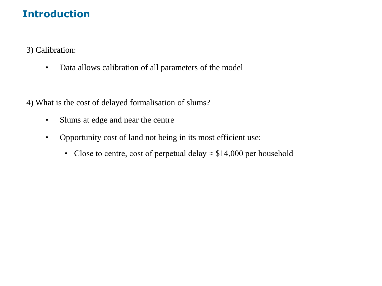# **Introduction**

3) Calibration:

• Data allows calibration of all parameters of the model

4) What is the cost of delayed formalisation of slums?

- Slums at edge and near the centre
- Opportunity cost of land not being in its most efficient use:
	- Close to centre, cost of perpetual delay  $\approx$  \$14,000 per household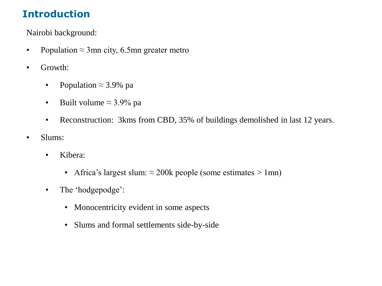# **Introduction**

Nairobi background:

- Population  $\approx$  3mn city, 6.5mn greater metro
- Growth:
	- Population  $\approx$  3.9% pa
	- Built volume  $\approx$  3.9% pa
	- Reconstruction: 3kms from CBD, 35% of buildings demolished in last 12 years.
- Slums:
	- Kibera:
		- Africa's largest slum:  $\approx$  200k people (some estimates > 1mn)
	- The 'hodgepodge':
		- Monocentricity evident in some aspects
		- Slums and formal settlements side-by-side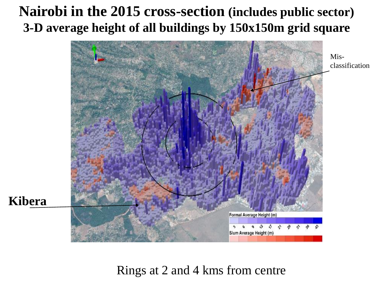# **Nairobi in the 2015 cross-section (includes public sector) 3-D average height of all buildings by 150x150m grid square**



Rings at 2 and 4 kms from centre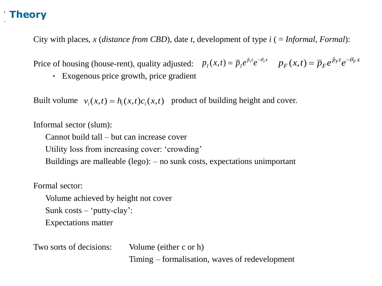, .

City with places, *x* (*distance from CBD*)*,* date *t*, development of type *i* ( = *Informal, Formal*):

Price of housing (house-rent), quality adjusted:  $p_i(x,t) = \overline{p}_i e^{p_i t} e^{-\theta_i x}$  $p_I(x,t) = \overline{p}_I e^{\hat{p}_I t} e^{-\theta_I t}$  $p(x,t) = \overline{p}_I e^{\hat{p}_I t} e^{-\theta_I x}$   $p_F(x,t) = \overline{p}_F e^{\hat{p}_F t} e^{-\theta_F x}$  $p_F(x,t) = \overline{p}_F e^{\hat{p}_F t} e^{-\theta_F t}$  $(x,t) = \overline{p}_F e^{\hat{p}}$ 

• Exogenous price growth, price gradient

Built volume  $v_i(x,t) = h_i(x,t)c_i(x,t)$  product of building height and cover.

Informal sector (slum):

Cannot build tall – but can increase cover Utility loss from increasing cover: 'crowding' Buildings are malleable (lego): – no sunk costs, expectations unimportant

Formal sector:

Volume achieved by height not cover Sunk  $costs - 'putty-clay':$ Expectations matter

Two sorts of decisions: Volume (either c or h) Timing – formalisation, waves of redevelopment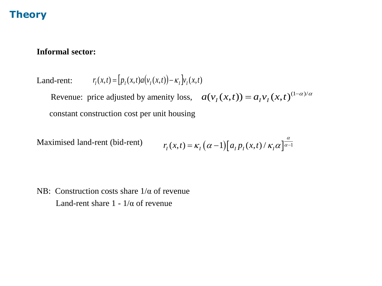#### **Informal sector:**

Land-rent:  $r_I(x,t) = [p_I(x,t)a(v_I(x,t)) - \kappa_I] v_I(x,t)$ 

Revenue: price adjusted by amenity loss,  $a(v_I(x,t)) = a_I v_I(x,t)^{(1-\alpha)/\alpha}$ constant construction cost per unit housing

Maximised land-rent (bid-rent)  $r_I(x,t) = \kappa_I(\alpha - 1)[a_I p_I(x,t) / \kappa_I \alpha]$ α  $= K, (\alpha - 1)$ |  $a, p, (x, t)$  /  $K, \alpha$ |  $\alpha$  -

NB: Construction costs share  $1/\alpha$  of revenue Land-rent share  $1 - 1/\alpha$  of revenue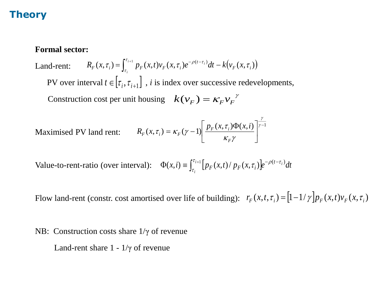#### **Formal sector:**

Land-rent: PV over interval  $t \in [\tau_i, \tau_{i+1}]$ , *i* is index over successive redevelopments, Construction cost per unit housing  $k(v_F) = \kappa_F v_F^{\gamma}$  $(x, \tau_i) = \int_{0}^{t_{i+1}} p_F(x,t) v_F(x, \tau_i) e^{-\rho(t-\tau_i)} dt - k(v_F(x, \tau_i))$ *F i t*  $R_F(x, \tau_i) = \int_0^{\tau_{i+1}} p_F(x, t) v_F(x, \tau_i) e^{-\rho(t - \tau_i)} dt - k \left(v_F(x, t) v_F(x, \tau_i)\right) dt$ *i*  $\tau_i$ ) =  $\int p_r(x,t)v_r(x,\tau_i)e^{-\rho(x-t_i)}dt - k(v_r(x,\tau_i))$ τ τ  $=$   $\int_{0}^{t+1} p(x,t) y(x, \tau) e^{-\beta (t-\tau)}$  $=\int_{\tau_i}^{\tau_{i+1}}p_F(x,t)v_F(x,\tau_i)e^{-\rho(t-\tau_i)}dt-$ 

Maximised PV land rent: 
$$
R_F(x, \tau_i) = \kappa_F(\gamma - 1) \left[ \frac{p_F(x, \tau_i) \Phi(x, i)}{\kappa_F \gamma} \right]^{\frac{\gamma}{\gamma - 1}}
$$

Value-to-rent-ratio (over interval):  $\Phi(x,i) = \int_{\tau_i}^{\tau_{i+1}} [p_F(x,t)/p_F(x,\tau_i)] e^{-\rho(t-\tau_i)}$ *i*  $f(x, i) \equiv \int_{\tau_i}^{\tau_{i+1}} [p_F(x, t) / p_F(x, \tau_i)] e^{-\rho(t - \tau_i)} dt$ τ τ  $\tau_{i}$ )  $|e^{-\rho(t-\tau)}$ 

Flow land-rent (constr. cost amortised over life of building):  $r_F(x,t,\tau_i) = \frac{1-1}{\gamma} p_F(x,t)v_F(x,\tau_i)$ 

NB: Construction costs share 1/γ of revenue

Land-rent share  $1 - 1/\gamma$  of revenue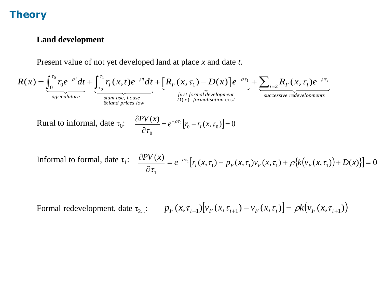#### **Land development**

Present value of not yet developed land at place *x* and date *t*.

$$
R(x) = \underbrace{\int_{0}^{\tau_{0}} r_{0} e^{-\rho t} dt}_{agriculture} + \underbrace{\int_{\tau_{0}}^{\tau_{1}} r_{I}(x, t) e^{-\rho t} dt}_{\text{slum use, house}} + \underbrace{\left[R_{F}(x, \tau_{1}) - D(x)\right] e^{-\rho \tau_{1}}}_{D(x): formal development}_{gurces live reduced opponents} + \underbrace{\sum_{i=2} R_{F}(x, \tau_{i}) e^{-\rho \tau_{i}}}_{\text{successive redevelopments}}_{\text{successive redevelopments}}
$$
\nRural to informal, date  $\tau_{0}$ :

\n
$$
\frac{\partial P V(x)}{\partial \tau_{0}} = e^{-\rho \tau_{0}} [r_{0} - r_{I}(x, \tau_{0})] = 0
$$

Informal to formal, date

\n
$$
\tau_1: \quad \frac{\partial P V(x)}{\partial \tau_1} = e^{-\rho \tau_1} \left[ r_I(x, \tau_1) - p_F(x, \tau_1) v_F(x, \tau_1) + \rho \left\{ k \left( v_F(x, \tau_1) \right) + D(x) \right\} \right] = 0
$$

Formal redevelopment, date  $\tau_{2...}$ :  $p_F(x, \tau_{i+1})[v_F(x, \tau_{i+1}) - v_F(x, \tau_i)] = \rho k(v_F(x, \tau_{i+1}))$  $P_F(x, \tau_{i+1})[v_F(x, \tau_{i+1}) - v_F(x, \tau_i)] = \rho k (v_F(x, \tau_{i+1}))$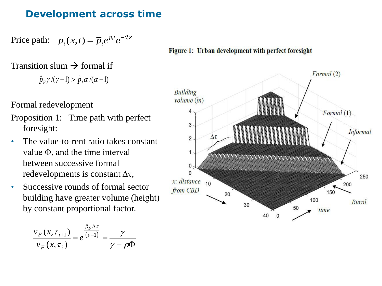#### **Development across time**

Price path:  $p_i(x,t) = \overline{p}_i e^{\hat{p}_i t} e^{-\theta_i x}$  $i \vee \cdots$ ,  $i \vee j$  $p_i(x,t) = \overline{p}_i e^{\hat{p}_i t} e^{-\theta_i t}$  $(x,t) = \overline{p}_i e^{\hat{p}}$ 

#### Transition slum  $\rightarrow$  formal if

ˆ $\rho_{_F}\gamma/(\gamma-1)>\hat{p}$  $\hat{p}_{F}\gamma/\gamma(\gamma-1) > \hat{p}_{I}\alpha/(\alpha-1)$ 

Formal redevelopment

- Proposition 1: Time path with perfect foresight:
- The value-to-rent ratio takes constant value Φ, and the time interval between successive formal redevelopments is constant  $\Delta \tau$ ,
- Successive rounds of formal sector building have greater volume (height) by constant proportional factor.

$$
\frac{v_F(x, \tau_{i+1})}{v_F(x, \tau_i)} = e^{\frac{\hat{p}_F \Delta \tau}{(\gamma - 1)}} = \frac{\gamma}{\gamma - \rho \Phi}
$$

Figure 1: Urban development with perfect foresight

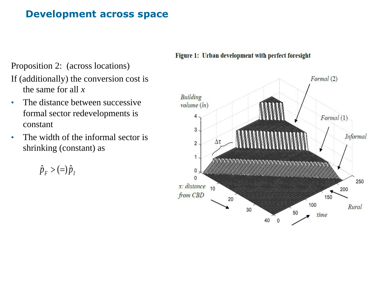#### **Development across space**

Proposition 2: (across locations)

If (additionally) the conversion cost is the same for all *x*

- The distance between successive formal sector redevelopments is constant
- The width of the informal sector is shrinking (constant) as

 $\hat{p}_F$  > (=) $\hat{p}_I$  $\hat{p}_F > (=\!\!\!\!\!\!/\,\hat{p})$ 



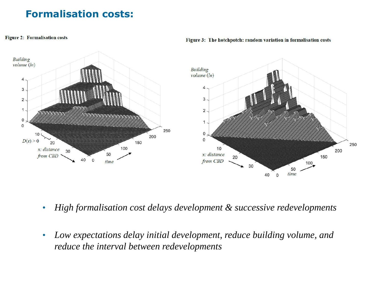# **Formalisation costs:**

**Figure 2: Formalisation costs** 

Building  $volume(h)$ **Building**  $volume(ln)$ 4 4  $\ensuremath{\mathsf{3}}$ 3  $\mathbf 2$  $\mathbf{1}$  $\overline{2}$ 0 1  $\mathsf{O}\xspace$ 250 10 200  $\mathbf 0$  $D(x) > 0$ 20 150 250 10 100 x: distance 30 200  $x$ : distance 50 from CBD 150 20 40  $\overline{\mathbf{0}}$ from CBD time 100 30 50 time 40 0

#### Figure 3: The hotchpotch: random variation in formalisation costs

- *High formalisation cost delays development & successive redevelopments*
- *Low expectations delay initial development, reduce building volume, and reduce the interval between redevelopments*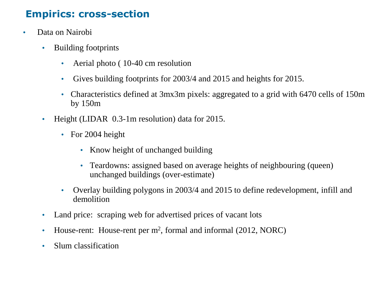# **Empirics: cross-section**

- Data on Nairobi
	- Building footprints
		- Aerial photo (10-40 cm resolution
		- Gives building footprints for 2003/4 and 2015 and heights for 2015.
		- Characteristics defined at 3mx3m pixels: aggregated to a grid with 6470 cells of 150m by 150m
	- Height (LIDAR 0.3-1m resolution) data for 2015.
		- For 2004 height
			- Know height of unchanged building
			- Teardowns: assigned based on average heights of neighbouring (queen) unchanged buildings (over-estimate)
		- Overlay building polygons in 2003/4 and 2015 to define redevelopment, infill and demolition
	- Land price: scraping web for advertised prices of vacant lots
	- House-rent: House-rent per m<sup>2</sup>, formal and informal (2012, NORC)
	- Slum classification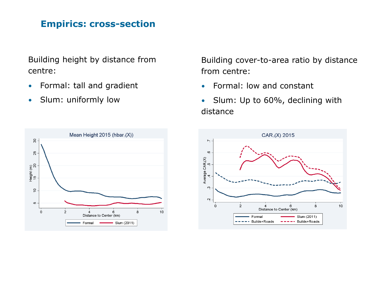#### **Empirics: cross-section**

Building height by distance from centre:

- Formal: tall and gradient
- Slum: uniformly low

Building cover-to-area ratio by distance from centre:

- Formal: low and constant
- Slum: Up to 60%, declining with distance



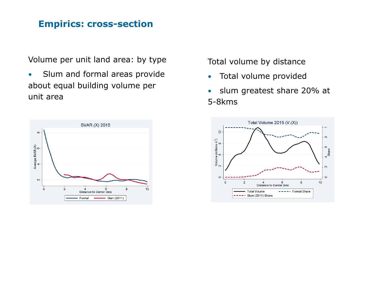#### **Empirics: cross-section**

Volume per unit land area: by type

• Slum and formal areas provide about equal building volume per unit area



Total volume by distance

- Total volume provided
- slum greatest share 20% at 5-8kms

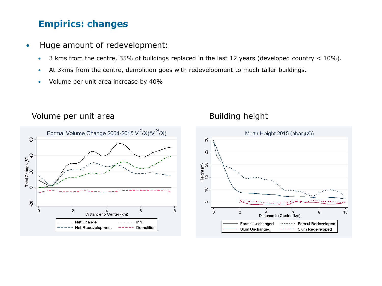#### **Empirics: changes**

- Huge amount of redevelopment:
	- 3 kms from the centre, 35% of buildings replaced in the last 12 years (developed country < 10%).
	- At 3kms from the centre, demolition goes with redevelopment to much taller buildings.
	- Volume per unit area increase by 40%



#### Volume per unit area Building height

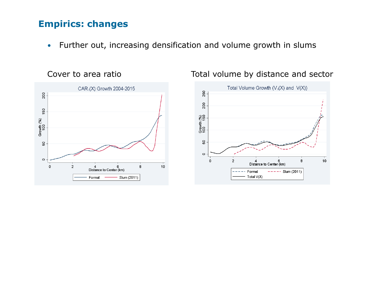#### **Empirics: changes**

• Further out, increasing densification and volume growth in slums





#### Cover to area ratio Total volume by distance and sector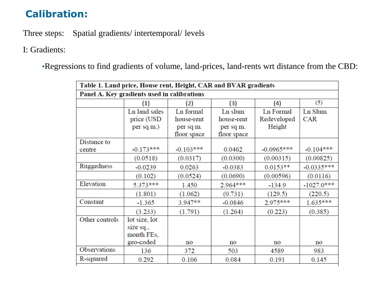# **Calibration:**

Three steps: Spatial gradients/ intertemporal/ levels

I: Gradients:

•Regressions to find gradients of volume, land-prices, land-rents wrt distance from the CBD:

| Table 1. Land price, House rent, Height, CAR and BVAR gradients |                   |             |             |                 |              |  |  |  |  |  |
|-----------------------------------------------------------------|-------------------|-------------|-------------|-----------------|--------------|--|--|--|--|--|
| Panel A. Key gradients used in calibrations                     |                   |             |             |                 |              |  |  |  |  |  |
|                                                                 | $\left( 1\right)$ | (2)         | (3)         | (4)             | (5)          |  |  |  |  |  |
|                                                                 | Ln land sales     | Ln formal   | Ln slum     | Ln Formal       | Ln Slum      |  |  |  |  |  |
|                                                                 | price (USD        | house-rent  | house-rent  | Redeveloped     | <b>CAR</b>   |  |  |  |  |  |
|                                                                 | per sq m.)        | per sq m.   | per sq m.   | Height          |              |  |  |  |  |  |
|                                                                 |                   | floor space | floor space |                 |              |  |  |  |  |  |
| Distance to                                                     |                   |             |             |                 |              |  |  |  |  |  |
| centre                                                          | $-0.173***$       | $-0.103***$ | 0.0462      | $-0.0965***$    | $-0.104***$  |  |  |  |  |  |
|                                                                 | (0.0518)          | (0.0317)    | (0.0300)    | (0.00315)       | (0.00825)    |  |  |  |  |  |
| Ruggedness                                                      | $-0.0239$         | 0.0263      | $-0.0383$   | $0.0153**$      | $-0.0335***$ |  |  |  |  |  |
|                                                                 | (0.102)           | (0.0524)    | (0.0690)    | (0.00596)       | (0.0116)     |  |  |  |  |  |
| Elevation                                                       | $5.373***$        | 1.450       | 2.964 ***   | $-134.9$        | $-1027.0***$ |  |  |  |  |  |
|                                                                 | (1.801)           | (1.062)     | (0.731)     | (129.5)         | (220.5)      |  |  |  |  |  |
| Constant                                                        | $-1.365$          | $3.947**$   | $-0.0846$   | 2.975***        | $1.635***$   |  |  |  |  |  |
|                                                                 | (3.233)           | (1.791)     | (1.264)     | (0.223)         | (0.385)      |  |  |  |  |  |
| Other controls                                                  | lot size, lot     |             |             |                 |              |  |  |  |  |  |
|                                                                 | size sq.,         |             |             |                 |              |  |  |  |  |  |
|                                                                 | month FEs,        |             |             |                 |              |  |  |  |  |  |
|                                                                 | geo-coded         | no          | no          | $\overline{no}$ | no           |  |  |  |  |  |
| Observations                                                    | 136               | 372         | 503         | 4589            | 983          |  |  |  |  |  |
| R-squared                                                       | 0.292             | 0.106       | 0.084       | 0.191           | 0.145        |  |  |  |  |  |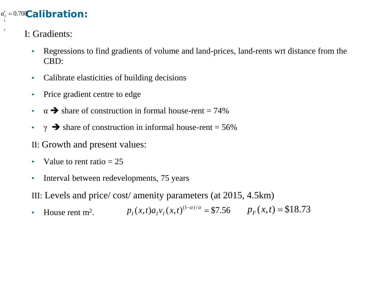#### d<sub>1</sub> = 0.708 **Calibration:**  $, '$

I: Gradients:

,

- Regressions to find gradients of volume and land-prices, land-rents wrt distance from the CBD:
- Calibrate elasticities of building decisions
- Price gradient centre to edge
- $\alpha \rightarrow$  share of construction in formal house-rent = 74%
- $\gamma \rightarrow$  share of construction in informal house-rent = 56%

II: Growth and present values:

- Value to rent ratio  $= 25$
- Interval between redevelopments, 75 years

III: Levels and price/ cost/ amenity parameters (at 2015, 4.5km)

• House rent  $m^2$ .  $(x,t)a_1v_1(x,t)^{(1-\alpha)/\alpha} = $7.56$   $p_F(x,t) = $18.73$  $p_I(x,t)a_I v_I(x,t)^{(1-\alpha)/\alpha}$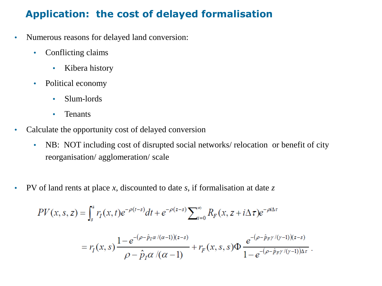### **Application: the cost of delayed formalisation**

- Numerous reasons for delayed land conversion:
	- Conflicting claims
		- Kibera history
	- Political economy
		- Slum-lords
		- Tenants
- Calculate the opportunity cost of delayed conversion
	- NB: NOT including cost of disrupted social networks/ relocation or benefit of city reorganisation/ agglomeration/ scale
- PV of land rents at place *x*, discounted to date *s*, if formalisation at date *z*

$$
PV(x, s, z) = \int_{s}^{z} r_{I}(x, t)e^{-\rho(t-s)}dt + e^{-\rho(z-s)}\sum_{i=0}^{\infty} R_{F}(x, z + i\Delta\tau)e^{-\rho i\Delta\tau}
$$
  
=  $r_{I}(x, s)\frac{1 - e^{-(\rho - \hat{p}_{I}\alpha/(\alpha - 1))(z - s)}}{\rho - \hat{p}_{I}\alpha/(\alpha - 1)} + r_{F}(x, s, s)\Phi\frac{e^{-(\rho - \hat{p}_{F}\gamma/(\gamma - 1))(z - s)}}{1 - e^{-(\rho - \hat{p}_{F}\gamma/(\gamma - 1))\Delta\tau}}.$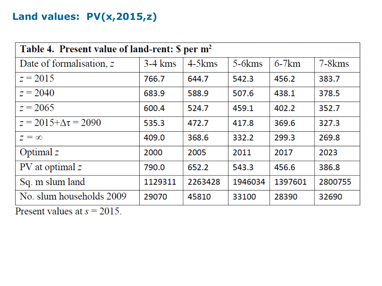# **Land values: PV(x,2015,z)**

| Table 4. Present value of land-rent: \$ per m <sup>2</sup> |           |             |             |         |               |  |  |  |  |
|------------------------------------------------------------|-----------|-------------|-------------|---------|---------------|--|--|--|--|
| Date of formalisation, z                                   | $3-4$ kms | $4-5$ $kms$ | $5-6$ $kms$ | $6-7km$ | $7 - 8$ $kms$ |  |  |  |  |
| $z = 2015$                                                 | 766.7     | 644.7       | 542.3       | 456.2   | 383.7         |  |  |  |  |
| $z = 2040$                                                 | 683.9     | 588.9       | 507.6       | 438.1   | 378.5         |  |  |  |  |
| $z = 2065$                                                 | 600.4     | 524.7       | 459.1       | 402.2   | 352.7         |  |  |  |  |
| $z = 2015 + \Delta \tau = 2090$                            | 535.3     | 472.7       | 417.8       | 369.6   | 327.3         |  |  |  |  |
| $z = \infty$                                               | 409.0     | 368.6       | 332.2       | 299.3   | 269.8         |  |  |  |  |
| Optimal $z$                                                | 2000      | 2005        | 2011        | 2017    | 2023          |  |  |  |  |
| $PV$ at optimal $z$                                        | 790.0     | 652.2       | 543.3       | 456.6   | 386.8         |  |  |  |  |
| Sq. m slum land                                            | 1129311   | 2263428     | 1946034     | 1397601 | 2800755       |  |  |  |  |
| No. slum households 2009                                   | 29070     | 45810       | 33100       | 28390   | 32690         |  |  |  |  |

Present values at  $s = 2015$ .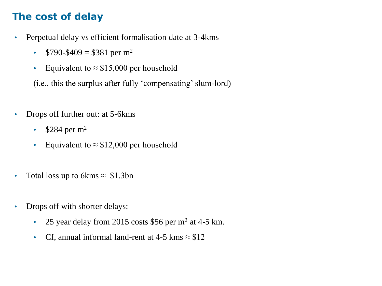# **The cost of delay**

- Perpetual delay vs efficient formalisation date at 3-4kms
	- $$790-\$409 = $381$  per m<sup>2</sup>
	- Equivalent to  $\approx$  \$15,000 per household

(i.e., this the surplus after fully 'compensating' slum-lord)

- Drops off further out: at 5-6 kms
	- $$284 \text{ per m}^2$
	- Equivalent to  $\approx$  \$12,000 per household
- Total loss up to 6kms  $\approx$  \$1.3bn
- Drops off with shorter delays:
	- 25 year delay from 2015 costs \$56 per  $m^2$  at 4-5 km.
	- Cf, annual informal land-rent at 4-5 kms  $\approx$  \$12